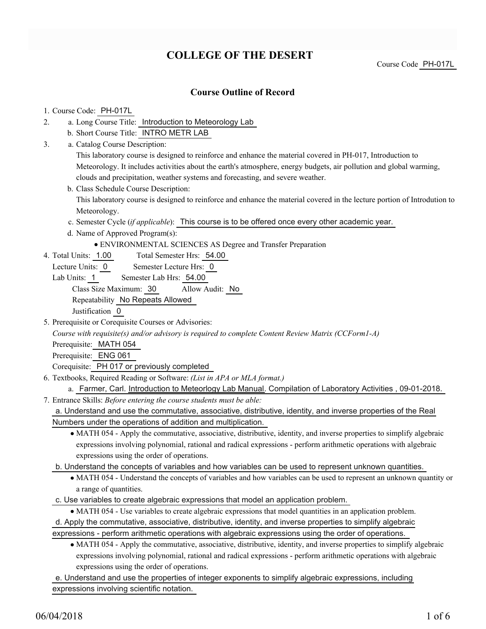# **COLLEGE OF THE DESERT**

Course Code PH-017L

## **Course Outline of Record**

### 1. Course Code: PH-017L

- a. Long Course Title: Introduction to Meteorology Lab 2.
	- b. Short Course Title: INTRO METR LAB
- Catalog Course Description: a. 3.

This laboratory course is designed to reinforce and enhance the material covered in PH-017, Introduction to Meteorology. It includes activities about the earth's atmosphere, energy budgets, air pollution and global warming, clouds and precipitation, weather systems and forecasting, and severe weather.

- b. Class Schedule Course Description: This laboratory course is designed to reinforce and enhance the material covered in the lecture portion of Introdution to Meteorology.
- c. Semester Cycle (*if applicable*): This course is to be offered once every other academic year.
- d. Name of Approved Program(s):
	- ENVIRONMENTAL SCIENCES AS Degree and Transfer Preparation
- Total Semester Hrs: 54.00 4. Total Units: 1.00
- Lecture Units: 0 Semester Lecture Hrs: 0
- Lab Units: 1 Semester Lab Hrs: 54.00 Class Size Maximum: 30 Allow Audit: No Repeatability No Repeats Allowed

Justification 0

5. Prerequisite or Corequisite Courses or Advisories:

*Course with requisite(s) and/or advisory is required to complete Content Review Matrix (CCForm1-A)*

Prerequisite: MATH 054

Prerequisite: ENG 061

Corequisite: PH 017 or previously completed

- Textbooks, Required Reading or Software: *(List in APA or MLA format.)* 6.
	- a. Farmer, Carl. Introduction to Meteorlogy Lab Manual. Compilation of Laboratory Activities , 09-01-2018.

Entrance Skills: *Before entering the course students must be able:* 7. a. Understand and use the commutative, associative, distributive, identity, and inverse properties of the Real

Numbers under the operations of addition and multiplication.

- MATH 054 Apply the commutative, associative, distributive, identity, and inverse properties to simplify algebraic expressions involving polynomial, rational and radical expressions - perform arithmetic operations with algebraic expressions using the order of operations.
- b. Understand the concepts of variables and how variables can be used to represent unknown quantities.
	- MATH 054 Understand the concepts of variables and how variables can be used to represent an unknown quantity or a range of quantities.

c. Use variables to create algebraic expressions that model an application problem.

MATH 054 - Use variables to create algebraic expressions that model quantities in an application problem.

d. Apply the commutative, associative, distributive, identity, and inverse properties to simplify algebraic

expressions - perform arithmetic operations with algebraic expressions using the order of operations.

MATH 054 - Apply the commutative, associative, distributive, identity, and inverse properties to simplify algebraic expressions involving polynomial, rational and radical expressions - perform arithmetic operations with algebraic expressions using the order of operations.

e. Understand and use the properties of integer exponents to simplify algebraic expressions, including expressions involving scientific notation.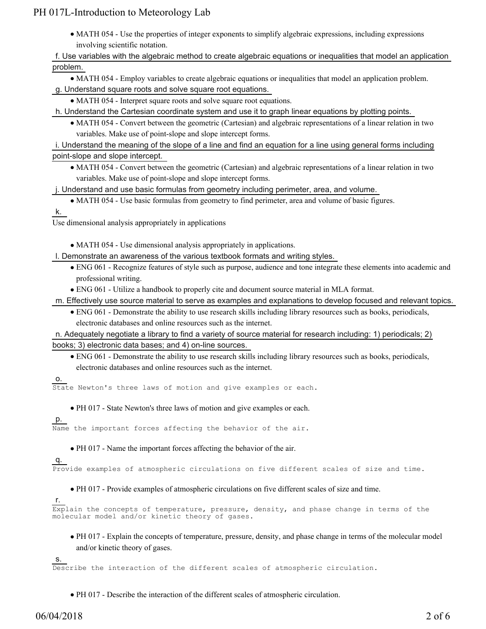MATH 054 - Use the properties of integer exponents to simplify algebraic expressions, including expressions involving scientific notation.

f. Use variables with the algebraic method to create algebraic equations or inequalities that model an application problem.

MATH 054 - Employ variables to create algebraic equations or inequalities that model an application problem.

### g. Understand square roots and solve square root equations.

MATH 054 - Interpret square roots and solve square root equations.

h. Understand the Cartesian coordinate system and use it to graph linear equations by plotting points.

MATH 054 - Convert between the geometric (Cartesian) and algebraic representations of a linear relation in two variables. Make use of point-slope and slope intercept forms.

### i. Understand the meaning of the slope of a line and find an equation for a line using general forms including point-slope and slope intercept.

MATH 054 - Convert between the geometric (Cartesian) and algebraic representations of a linear relation in two variables. Make use of point-slope and slope intercept forms.

j. Understand and use basic formulas from geometry including perimeter, area, and volume.

MATH 054 - Use basic formulas from geometry to find perimeter, area and volume of basic figures.

k.

Use dimensional analysis appropriately in applications

MATH 054 - Use dimensional analysis appropriately in applications.

l. Demonstrate an awareness of the various textbook formats and writing styles.

- ENG 061 Recognize features of style such as purpose, audience and tone integrate these elements into academic and professional writing.
- ENG 061 Utilize a handbook to properly cite and document source material in MLA format.

m. Effectively use source material to serve as examples and explanations to develop focused and relevant topics.

ENG 061 - Demonstrate the ability to use research skills including library resources such as books, periodicals, electronic databases and online resources such as the internet.

n. Adequately negotiate a library to find a variety of source material for research including: 1) periodicals; 2) books; 3) electronic data bases; and 4) on-line sources.

ENG 061 - Demonstrate the ability to use research skills including library resources such as books, periodicals, electronic databases and online resources such as the internet.

o.

State Newton's three laws of motion and give examples or each.

- PH 017 State Newton's three laws of motion and give examples or each.
- p.

Name the important forces affecting the behavior of the air.

PH 017 - Name the important forces affecting the behavior of the air.

q.

Provide examples of atmospheric circulations on five different scales of size and time.

PH 017 - Provide examples of atmospheric circulations on five different scales of size and time.

### r.

Explain the concepts of temperature, pressure, density, and phase change in terms of the molecular model and/or kinetic theory of gases.

PH 017 - Explain the concepts of temperature, pressure, density, and phase change in terms of the molecular model and/or kinetic theory of gases.

s.

Describe the interaction of the different scales of atmospheric circulation.

PH 017 - Describe the interaction of the different scales of atmospheric circulation.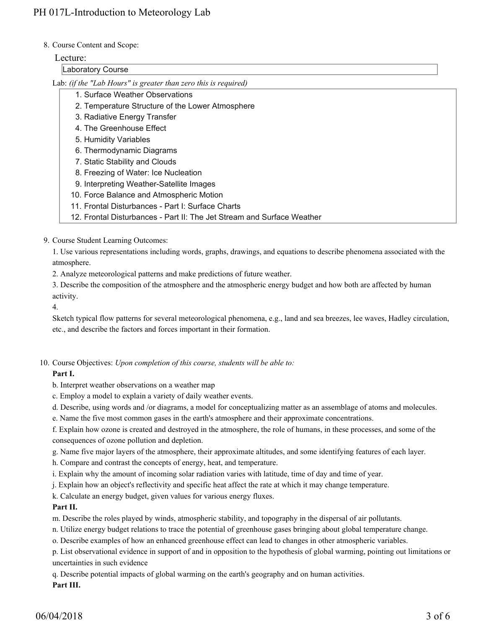### 8. Course Content and Scope:

### Lecture:

### Laboratory Course

Lab: *(if the "Lab Hours" is greater than zero this is required)*

- 1. Surface Weather Observations
- 2. Temperature Structure of the Lower Atmosphere
- 3. Radiative Energy Transfer
- 4. The Greenhouse Effect
- 5. Humidity Variables
- 6. Thermodynamic Diagrams
- 7. Static Stability and Clouds
- 8. Freezing of Water: Ice Nucleation
- 9. Interpreting Weather-Satellite Images
- 10. Force Balance and Atmospheric Motion
- 11. Frontal Disturbances Part I: Surface Charts
- 12. Frontal Disturbances Part II: The Jet Stream and Surface Weather

9. Course Student Learning Outcomes:

1. Use various representations including words, graphs, drawings, and equations to describe phenomena associated with the atmosphere.

2. Analyze meteorological patterns and make predictions of future weather.

3. Describe the composition of the atmosphere and the atmospheric energy budget and how both are affected by human activity.

4.

Sketch typical flow patterns for several meteorological phenomena, e.g., land and sea breezes, lee waves, Hadley circulation, etc., and describe the factors and forces important in their formation.

10. Course Objectives: Upon completion of this course, students will be able to:

## **Part I.**

b. Interpret weather observations on a weather map

c. Employ a model to explain a variety of daily weather events.

d. Describe, using words and /or diagrams, a model for conceptualizing matter as an assemblage of atoms and molecules.

e. Name the five most common gases in the earth's atmosphere and their approximate concentrations.

f. Explain how ozone is created and destroyed in the atmosphere, the role of humans, in these processes, and some of the consequences of ozone pollution and depletion.

g. Name five major layers of the atmosphere, their approximate altitudes, and some identifying features of each layer.

h. Compare and contrast the concepts of energy, heat, and temperature.

i. Explain why the amount of incoming solar radiation varies with latitude, time of day and time of year.

j. Explain how an object's reflectivity and specific heat affect the rate at which it may change temperature.

k. Calculate an energy budget, given values for various energy fluxes.

## **Part II.**

m. Describe the roles played by winds, atmospheric stability, and topography in the dispersal of air pollutants.

n. Utilize energy budget relations to trace the potential of greenhouse gases bringing about global temperature change.

o. Describe examples of how an enhanced greenhouse effect can lead to changes in other atmospheric variables.

p. List observational evidence in support of and in opposition to the hypothesis of global warming, pointing out limitations or uncertainties in such evidence

q. Describe potential impacts of global warming on the earth's geography and on human activities.

**Part III.**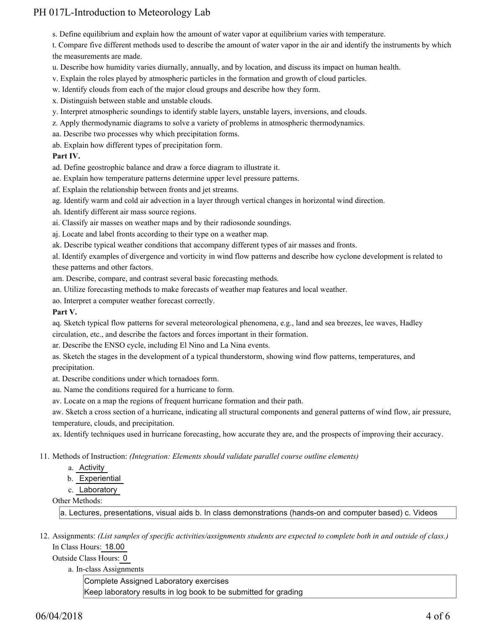s. Define equilibrium and explain how the amount of water vapor at equilibrium varies with temperature.

t. Compare five different methods used to describe the amount of water vapor in the air and identify the instruments by which the measurements are made.

- u. Describe how humidity varies diurnally, annually, and by location, and discuss its impact on human health.
- v. Explain the roles played by atmospheric particles in the formation and growth of cloud particles.
- w. Identify clouds from each of the major cloud groups and describe how they form.
- x. Distinguish between stable and unstable clouds.
- y. Interpret atmospheric soundings to identify stable layers, unstable layers, inversions, and clouds.
- z. Apply thermodynamic diagrams to solve a variety of problems in atmospheric thermodynamics.
- aa. Describe two processes why which precipitation forms.
- ab. Explain how different types of precipitation form.

### **Part IV.**

ad. Define geostrophic balance and draw a force diagram to illustrate it.

- ae. Explain how temperature patterns determine upper level pressure patterns.
- af. Explain the relationship between fronts and jet streams.
- ag. Identify warm and cold air advection in a layer through vertical changes in horizontal wind direction.
- ah. Identify different air mass source regions.
- ai. Classify air masses on weather maps and by their radiosonde soundings.
- aj. Locate and label fronts according to their type on a weather map.
- ak. Describe typical weather conditions that accompany different types of air masses and fronts.

al. Identify examples of divergence and vorticity in wind flow patterns and describe how cyclone development is related to these patterns and other factors.

am. Describe, compare, and contrast several basic forecasting methods.

- an. Utilize forecasting methods to make forecasts of weather map features and local weather.
- ao. Interpret a computer weather forecast correctly.

### **Part V.**

aq. Sketch typical flow patterns for several meteorological phenomena, e.g., land and sea breezes, lee waves, Hadley circulation, etc., and describe the factors and forces important in their formation.

ar. Describe the ENSO cycle, including El Nino and La Nina events.

as. Sketch the stages in the development of a typical thunderstorm, showing wind flow patterns, temperatures, and precipitation.

at. Describe conditions under which tornadoes form.

au. Name the conditions required for a hurricane to form.

av. Locate on a map the regions of frequent hurricane formation and their path.

aw. Sketch a cross section of a hurricane, indicating all structural components and general patterns of wind flow, air pressure, temperature, clouds, and precipitation.

ax. Identify techniques used in hurricane forecasting, how accurate they are, and the prospects of improving their accuracy.

Methods of Instruction: *(Integration: Elements should validate parallel course outline elements)* 11.

- a. Activity
- b. Experiential
- c. Laboratory

Other Methods:

a. Lectures, presentations, visual aids b. In class demonstrations (hands-on and computer based) c. Videos

12. Assignments: (List samples of specific activities/assignments students are expected to complete both in and outside of class.) In Class Hours: 18.00

Outside Class Hours: 0

### a. In-class Assignments

Complete Assigned Laboratory exercises Keep laboratory results in log book to be submitted for grading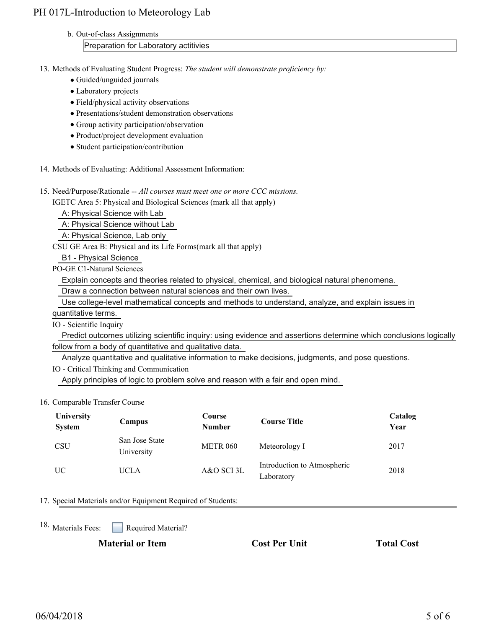### b. Out-of-class Assignments

### Preparation for Laboratory actitivies

13. Methods of Evaluating Student Progress: The student will demonstrate proficiency by:

- Guided/unguided journals
- Laboratory projects
- Field/physical activity observations
- Presentations/student demonstration observations
- Group activity participation/observation
- Product/project development evaluation
- Student participation/contribution
- 14. Methods of Evaluating: Additional Assessment Information:
- 15. Need/Purpose/Rationale -- All courses must meet one or more CCC missions.

IGETC Area 5: Physical and Biological Sciences (mark all that apply)

A: Physical Science with Lab

A: Physical Science without Lab

A: Physical Science, Lab only

CSU GE Area B: Physical and its Life Forms(mark all that apply)

B1 - Physical Science

PO-GE C1-Natural Sciences

Explain concepts and theories related to physical, chemical, and biological natural phenomena.

Draw a connection between natural sciences and their own lives.

Use college-level mathematical concepts and methods to understand, analyze, and explain issues in

quantitative terms.

IO - Scientific Inquiry

 Predict outcomes utilizing scientific inquiry: using evidence and assertions determine which conclusions logically follow from a body of quantitative and qualitative data.

Analyze quantitative and qualitative information to make decisions, judgments, and pose questions.

IO - Critical Thinking and Communication

Apply principles of logic to problem solve and reason with a fair and open mind.

### 16. Comparable Transfer Course

| <b>University</b><br><b>System</b> | Campus                       | Course<br><b>Number</b> | <b>Course Title</b>                       | Catalog<br>Year |
|------------------------------------|------------------------------|-------------------------|-------------------------------------------|-----------------|
| <b>CSU</b>                         | San Jose State<br>University | <b>METR 060</b>         | Meteorology I                             | 2017            |
| UC                                 | UCLA                         | A&O SCI 3L              | Introduction to Atmospheric<br>Laboratory | 2018            |

### 17. Special Materials and/or Equipment Required of Students:

18. Materials Fees:

Required Material?

**Material or Item Cost Per Unit Total Cost**